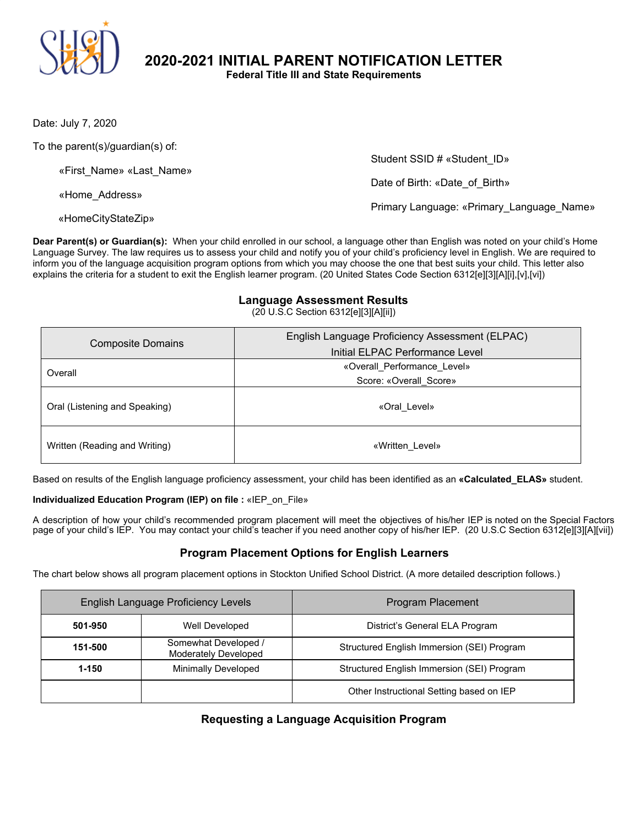

**2020-2021 INITIAL PARENT NOTIFICATION LETTER**

**Federal Title III and State Requirements**

Date: July 7, 2020

To the parent(s)/guardian(s) of:

«First\_Name» «Last\_Name»

«Home\_Address»

«HomeCityStateZip»

Student SSID # «Student\_ID»

Date of Birth: «Date\_of\_Birth»

Primary Language: «Primary\_Language\_Name»

**Dear Parent(s) or Guardian(s):** When your child enrolled in our school, a language other than English was noted on your child's Home Language Survey. The law requires us to assess your child and notify you of your child's proficiency level in English. We are required to inform you of the language acquisition program options from which you may choose the one that best suits your child. This letter also explains the criteria for a student to exit the English learner program. (20 United States Code Section 6312[e][3][A][i],[v],[vi])

#### **Language Assessment Results**

(20 U.S.C Section 6312[e][3][A][ii])

| <b>Composite Domains</b>      | English Language Proficiency Assessment (ELPAC)<br>Initial ELPAC Performance Level |
|-------------------------------|------------------------------------------------------------------------------------|
| Overall                       | «Overall Performance Level»                                                        |
|                               | Score: «Overall Score»                                                             |
| Oral (Listening and Speaking) | «Oral Level»                                                                       |
| Written (Reading and Writing) | «Written Level»                                                                    |

Based on results of the English language proficiency assessment, your child has been identified as an **«Calculated\_ELAS»** student.

#### **Individualized Education Program (IEP) on file :** «IEP\_on\_File»

A description of how your child's recommended program placement will meet the objectives of his/her IEP is noted on the Special Factors page of your child's IEP. You may contact your child's teacher if you need another copy of his/her IEP. (20 U.S.C Section 6312[e][3][A][vii])

## **Program Placement Options for English Learners**

The chart below shows all program placement options in Stockton Unified School District. (A more detailed description follows.)

| English Language Proficiency Levels |                                              | Program Placement                          |
|-------------------------------------|----------------------------------------------|--------------------------------------------|
| 501-950                             | Well Developed                               | District's General ELA Program             |
| 151-500                             | Somewhat Developed /<br>Moderately Developed | Structured English Immersion (SEI) Program |
| 1-150                               | Minimally Developed                          | Structured English Immersion (SEI) Program |
|                                     |                                              | Other Instructional Setting based on IEP   |

## **Requesting a Language Acquisition Program**